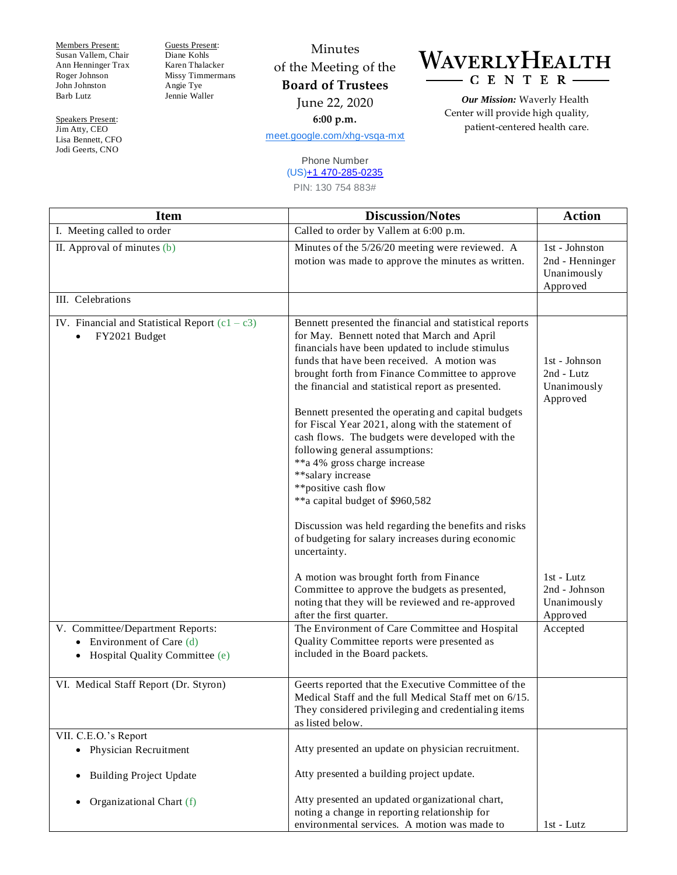Members Present: Susan Vallem, Chair Ann Henninger Trax Roger Johnson John Johnston Barb Lutz

Speakers Present: Jim Atty, CEO Lisa Bennett, CFO Jodi Geerts, CNO

Guests Present: Diane Kohls Karen Thalacker Missy Timmermans Angie Tye Jennie Waller

## Minutes of the Meeting of the **Board of Trustees** June 22, 2020 **6:00 p.m.**

[meet.google.com/xhg-vsqa-mxt](https://meet.google.com/xhg-vsqa-mxt?hs=122&authuser=2)

## Phone Number (US[\)+1 470-285-0235](tel:%E2%80%AA+1%20470-285-0235%E2%80%AC)

PIN: 130 754 883#

WAVERLYHEALTH  $-C E N T E R$ 

> *Our Mission:* Waverly Health Center will provide high quality, patient-centered health care.

| <b>Item</b>                                                                                         | <b>Discussion/Notes</b>                                                                                                                                                                                                                                                                                                                                                                                                                                                                                                                                                                                                                                                                                                                                           | <b>Action</b>                                                |
|-----------------------------------------------------------------------------------------------------|-------------------------------------------------------------------------------------------------------------------------------------------------------------------------------------------------------------------------------------------------------------------------------------------------------------------------------------------------------------------------------------------------------------------------------------------------------------------------------------------------------------------------------------------------------------------------------------------------------------------------------------------------------------------------------------------------------------------------------------------------------------------|--------------------------------------------------------------|
| I. Meeting called to order                                                                          | Called to order by Vallem at 6:00 p.m.                                                                                                                                                                                                                                                                                                                                                                                                                                                                                                                                                                                                                                                                                                                            |                                                              |
| II. Approval of minutes $(b)$                                                                       | Minutes of the 5/26/20 meeting were reviewed. A<br>motion was made to approve the minutes as written.                                                                                                                                                                                                                                                                                                                                                                                                                                                                                                                                                                                                                                                             | 1st - Johnston<br>2nd - Henninger<br>Unanimously<br>Approved |
| III. Celebrations                                                                                   |                                                                                                                                                                                                                                                                                                                                                                                                                                                                                                                                                                                                                                                                                                                                                                   |                                                              |
| IV. Financial and Statistical Report $(c1 - c3)$<br>FY2021 Budget                                   | Bennett presented the financial and statistical reports<br>for May. Bennett noted that March and April<br>financials have been updated to include stimulus<br>funds that have been received. A motion was<br>brought forth from Finance Committee to approve<br>the financial and statistical report as presented.<br>Bennett presented the operating and capital budgets<br>for Fiscal Year 2021, along with the statement of<br>cash flows. The budgets were developed with the<br>following general assumptions:<br>**a 4% gross charge increase<br>** salary increase<br>**positive cash flow<br>**a capital budget of \$960,582<br>Discussion was held regarding the benefits and risks<br>of budgeting for salary increases during economic<br>uncertainty. | 1st - Johnson<br>$2nd$ - Lutz<br>Unanimously<br>Approved     |
|                                                                                                     | A motion was brought forth from Finance<br>Committee to approve the budgets as presented,<br>noting that they will be reviewed and re-approved<br>after the first quarter.                                                                                                                                                                                                                                                                                                                                                                                                                                                                                                                                                                                        | $1st$ - Lutz<br>2nd - Johnson<br>Unanimously<br>Approved     |
| V. Committee/Department Reports:<br>• Environment of Care $(d)$<br>• Hospital Quality Committee (e) | The Environment of Care Committee and Hospital<br>Quality Committee reports were presented as<br>included in the Board packets.                                                                                                                                                                                                                                                                                                                                                                                                                                                                                                                                                                                                                                   | Accepted                                                     |
| VI. Medical Staff Report (Dr. Styron)                                                               | Geerts reported that the Executive Committee of the<br>Medical Staff and the full Medical Staff met on 6/15.<br>They considered privileging and credentialing items<br>as listed below.                                                                                                                                                                                                                                                                                                                                                                                                                                                                                                                                                                           |                                                              |
| VII. C.E.O.'s Report<br>• Physician Recruitment                                                     | Atty presented an update on physician recruitment.                                                                                                                                                                                                                                                                                                                                                                                                                                                                                                                                                                                                                                                                                                                |                                                              |
| <b>Building Project Update</b><br>$\bullet$                                                         | Atty presented a building project update.                                                                                                                                                                                                                                                                                                                                                                                                                                                                                                                                                                                                                                                                                                                         |                                                              |
| Organizational Chart (f)<br>$\bullet$                                                               | Atty presented an updated organizational chart,<br>noting a change in reporting relationship for<br>environmental services. A motion was made to                                                                                                                                                                                                                                                                                                                                                                                                                                                                                                                                                                                                                  | 1st - Lutz                                                   |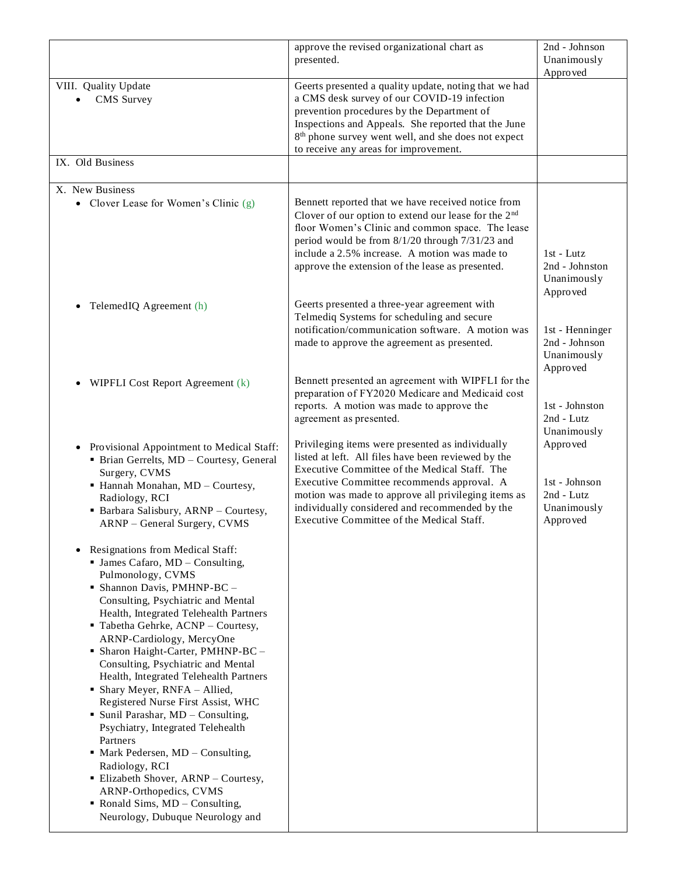|                                                                                                                                                                                                                                                                                                                                                                                                                                                                                                                                                                                                                                                                                                                                                                                                                      | approve the revised organizational chart as                                                                                                                                                                                                                                                                                                                  | 2nd - Johnson                                                      |
|----------------------------------------------------------------------------------------------------------------------------------------------------------------------------------------------------------------------------------------------------------------------------------------------------------------------------------------------------------------------------------------------------------------------------------------------------------------------------------------------------------------------------------------------------------------------------------------------------------------------------------------------------------------------------------------------------------------------------------------------------------------------------------------------------------------------|--------------------------------------------------------------------------------------------------------------------------------------------------------------------------------------------------------------------------------------------------------------------------------------------------------------------------------------------------------------|--------------------------------------------------------------------|
|                                                                                                                                                                                                                                                                                                                                                                                                                                                                                                                                                                                                                                                                                                                                                                                                                      | presented.                                                                                                                                                                                                                                                                                                                                                   | Unanimously                                                        |
| VIII. Quality Update<br>CMS Survey<br>IX. Old Business                                                                                                                                                                                                                                                                                                                                                                                                                                                                                                                                                                                                                                                                                                                                                               | Geerts presented a quality update, noting that we had<br>a CMS desk survey of our COVID-19 infection<br>prevention procedures by the Department of<br>Inspections and Appeals. She reported that the June<br>8 <sup>th</sup> phone survey went well, and she does not expect<br>to receive any areas for improvement.                                        | Approved                                                           |
|                                                                                                                                                                                                                                                                                                                                                                                                                                                                                                                                                                                                                                                                                                                                                                                                                      |                                                                                                                                                                                                                                                                                                                                                              |                                                                    |
| X. New Business<br>• Clover Lease for Women's Clinic (g)                                                                                                                                                                                                                                                                                                                                                                                                                                                                                                                                                                                                                                                                                                                                                             | Bennett reported that we have received notice from<br>Clover of our option to extend our lease for the 2 <sup>nd</sup><br>floor Women's Clinic and common space. The lease<br>period would be from 8/1/20 through 7/31/23 and<br>include a 2.5% increase. A motion was made to<br>approve the extension of the lease as presented.                           | $1st$ - Lutz<br>2nd - Johnston<br>Unanimously<br>Approved          |
| TelemedIQ Agreement (h)<br>$\bullet$                                                                                                                                                                                                                                                                                                                                                                                                                                                                                                                                                                                                                                                                                                                                                                                 | Geerts presented a three-year agreement with<br>Telmediq Systems for scheduling and secure<br>notification/communication software. A motion was<br>made to approve the agreement as presented.                                                                                                                                                               | 1st - Henninger<br>2nd - Johnson<br>Unanimously<br>Approved        |
| WIPFLI Cost Report Agreement (k)                                                                                                                                                                                                                                                                                                                                                                                                                                                                                                                                                                                                                                                                                                                                                                                     | Bennett presented an agreement with WIPFLI for the<br>preparation of FY2020 Medicare and Medicaid cost<br>reports. A motion was made to approve the<br>agreement as presented.                                                                                                                                                                               | 1st - Johnston<br>2nd - Lutz<br>Unanimously                        |
| • Provisional Appointment to Medical Staff:<br>• Brian Gerrelts, MD - Courtesy, General<br>Surgery, CVMS<br>• Hannah Monahan, MD - Courtesy,<br>Radiology, RCI<br>• Barbara Salisbury, ARNP - Courtesy,<br>ARNP - General Surgery, CVMS                                                                                                                                                                                                                                                                                                                                                                                                                                                                                                                                                                              | Privileging items were presented as individually<br>listed at left. All files have been reviewed by the<br>Executive Committee of the Medical Staff. The<br>Executive Committee recommends approval. A<br>motion was made to approve all privileging items as<br>individually considered and recommended by the<br>Executive Committee of the Medical Staff. | Approved<br>1st - Johnson<br>2nd - Lutz<br>Unanimously<br>Approved |
| <b>Resignations from Medical Staff:</b><br>$\bullet$<br>$\blacksquare$ James Cafaro, MD - Consulting,<br>Pulmonology, CVMS<br>• Shannon Davis, PMHNP-BC -<br>Consulting, Psychiatric and Mental<br>Health, Integrated Telehealth Partners<br>" Tabetha Gehrke, ACNP - Courtesy,<br>ARNP-Cardiology, MercyOne<br>• Sharon Haight-Carter, PMHNP-BC -<br>Consulting, Psychiatric and Mental<br>Health, Integrated Telehealth Partners<br>• Shary Meyer, RNFA - Allied,<br>Registered Nurse First Assist, WHC<br>• Sunil Parashar, MD - Consulting,<br>Psychiatry, Integrated Telehealth<br>Partners<br>$\blacksquare$ Mark Pedersen, MD – Consulting,<br>Radiology, RCI<br><b>Elizabeth Shover, ARNP - Courtesy,</b><br>ARNP-Orthopedics, CVMS<br>• Ronald Sims, $MD -$ Consulting,<br>Neurology, Dubuque Neurology and |                                                                                                                                                                                                                                                                                                                                                              |                                                                    |